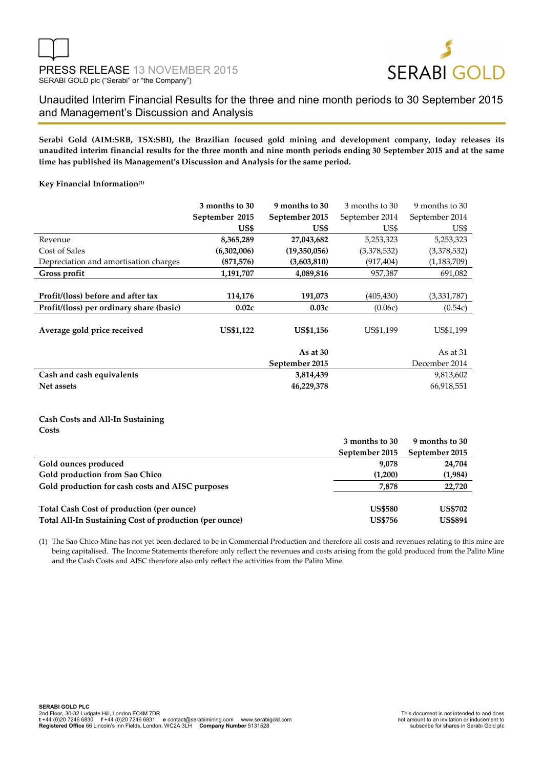

Unaudited Interim Financial Results for the three and nine month periods to 30 September 2015 and Management's Discussion and Analysis

**Serabi Gold (AIM:SRB, TSX:SBI), the Brazilian focused gold mining and development company, today releases its unaudited interim financial results for the three month and nine month periods ending 30 September 2015 and at the same time has published its Management's Discussion and Analysis for the same period.** 

## **Key Financial Information(1)**

|                                          | 3 months to 30   | 9 months to 30   | 3 months to 30 | 9 months to 30 |
|------------------------------------------|------------------|------------------|----------------|----------------|
|                                          | September 2015   | September 2015   | September 2014 | September 2014 |
|                                          | US\$             | US\$             | US\$           | US\$           |
| Revenue                                  | 8,365,289        | 27,043,682       | 5,253,323      | 5,253,323      |
| Cost of Sales                            | (6,302,006)      | (19,350,056)     | (3,378,532)    | (3,378,532)    |
| Depreciation and amortisation charges    | (871, 576)       | (3,603,810)      | (917, 404)     | (1, 183, 709)  |
| Gross profit                             | 1,191,707        | 4,089,816        | 957,387        | 691,082        |
|                                          |                  |                  |                |                |
| Profit/(loss) before and after tax       | 114,176          | 191,073          | (405, 430)     | (3,331,787)    |
| Profit/(loss) per ordinary share (basic) | 0.02c            | 0.03c            | (0.06c)        | (0.54c)        |
| Average gold price received              | <b>US\$1,122</b> | <b>US\$1,156</b> | US\$1,199      | US\$1,199      |
|                                          |                  |                  |                |                |
|                                          |                  | As at $30$       |                | As at 31       |
|                                          |                  | September 2015   |                | December 2014  |
| Cash and cash equivalents                |                  | 3,814,439        |                | 9,813,602      |
| Net assets                               |                  | 46,229,378       |                | 66,918,551     |

#### **Cash Costs and All-In Sustaining Costs**

|                                                        | 3 months to 30 | 9 months to 30 |
|--------------------------------------------------------|----------------|----------------|
|                                                        | September 2015 | September 2015 |
| Gold ounces produced                                   | 9,078          | 24,704         |
| Gold production from Sao Chico                         | (1,200)        | (1,984)        |
| Gold production for cash costs and AISC purposes       | 7.878          | 22,720         |
|                                                        |                |                |
| Total Cash Cost of production (per ounce)              | <b>US\$580</b> | <b>US\$702</b> |
| Total All-In Sustaining Cost of production (per ounce) | <b>US\$756</b> | <b>US\$894</b> |

(1) The Sao Chico Mine has not yet been declared to be in Commercial Production and therefore all costs and revenues relating to this mine are being capitalised. The Income Statements therefore only reflect the revenues and costs arising from the gold produced from the Palito Mine and the Cash Costs and AISC therefore also only reflect the activities from the Palito Mine.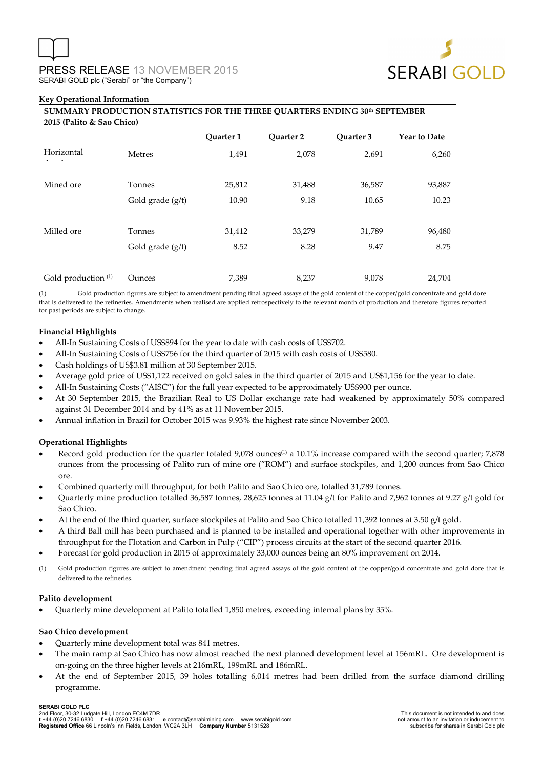

#### **Key Operational Information**

## **SUMMARY PRODUCTION STATISTICS FOR THE THREE QUARTERS ENDING 30th SEPTEMBER 2015 (Palito & Sao Chico)**

|                                  |                  | Ouarter 1 | <b>Ouarter 2</b> | Quarter 3 | <b>Year to Date</b> |
|----------------------------------|------------------|-----------|------------------|-----------|---------------------|
| Horizontal<br>$\mathbf{u}$<br>п. | Metres           | 1,491     | 2,078            | 2,691     | 6,260               |
| Mined ore                        | Tonnes           | 25,812    | 31,488           | 36,587    | 93,887              |
|                                  | Gold grade (g/t) | 10.90     | 9.18             | 10.65     | 10.23               |
| Milled ore                       | Tonnes           | 31,412    | 33,279           | 31,789    | 96,480              |
|                                  | Gold grade (g/t) | 8.52      | 8.28             | 9.47      | 8.75                |
| Gold production <sup>(1)</sup>   | Ounces           | 7,389     | 8,237            | 9,078     | 24,704              |

(1) Gold production figures are subject to amendment pending final agreed assays of the gold content of the copper/gold concentrate and gold dore that is delivered to the refineries. Amendments when realised are applied retrospectively to the relevant month of production and therefore figures reported for past periods are subject to change.

#### **Financial Highlights**

- All-In Sustaining Costs of US\$894 for the year to date with cash costs of US\$702.
- All-In Sustaining Costs of US\$756 for the third quarter of 2015 with cash costs of US\$580.
- Cash holdings of US\$3.81 million at 30 September 2015.
- Average gold price of US\$1,122 received on gold sales in the third quarter of 2015 and US\$1,156 for the year to date.
- All-In Sustaining Costs ("AISC") for the full year expected to be approximately US\$900 per ounce.
- At 30 September 2015, the Brazilian Real to US Dollar exchange rate had weakened by approximately 50% compared against 31 December 2014 and by 41% as at 11 November 2015.
- Annual inflation in Brazil for October 2015 was 9.93% the highest rate since November 2003.

## **Operational Highlights**

- Record gold production for the quarter totaled  $9,078$  ounces<sup>(1)</sup> a 10.1% increase compared with the second quarter; 7,878 ounces from the processing of Palito run of mine ore ("ROM") and surface stockpiles, and 1,200 ounces from Sao Chico ore.
- Combined quarterly mill throughput, for both Palito and Sao Chico ore, totalled 31,789 tonnes.
- Quarterly mine production totalled 36,587 tonnes, 28,625 tonnes at 11.04 g/t for Palito and 7,962 tonnes at 9.27 g/t gold for Sao Chico.
- At the end of the third quarter, surface stockpiles at Palito and Sao Chico totalled 11,392 tonnes at 3.50 g/t gold.
- A third Ball mill has been purchased and is planned to be installed and operational together with other improvements in throughput for the Flotation and Carbon in Pulp ("CIP") process circuits at the start of the second quarter 2016.
- Forecast for gold production in 2015 of approximately 33,000 ounces being an 80% improvement on 2014.
- (1) Gold production figures are subject to amendment pending final agreed assays of the gold content of the copper/gold concentrate and gold dore that is delivered to the refineries.

#### **Palito development**

• Quarterly mine development at Palito totalled 1,850 metres, exceeding internal plans by 35%.

#### **Sao Chico development**

- Quarterly mine development total was 841 metres.
- The main ramp at Sao Chico has now almost reached the next planned development level at 156mRL. Ore development is on-going on the three higher levels at 216mRL, 199mRL and 186mRL.
- At the end of September 2015, 39 holes totalling 6,014 metres had been drilled from the surface diamond drilling programme.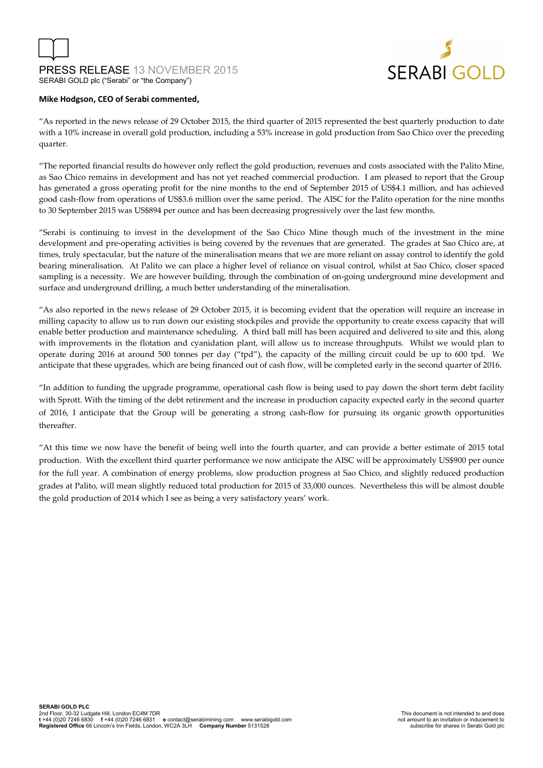PRESS RELEASE 13 NOVEMBER 2015 SERABI GOLD plc ("Serabi" or "the Company")



#### **Mike Hodgson, CEO of Serabi commented,**

"As reported in the news release of 29 October 2015, the third quarter of 2015 represented the best quarterly production to date with a 10% increase in overall gold production, including a 53% increase in gold production from Sao Chico over the preceding quarter.

"The reported financial results do however only reflect the gold production, revenues and costs associated with the Palito Mine, as Sao Chico remains in development and has not yet reached commercial production. I am pleased to report that the Group has generated a gross operating profit for the nine months to the end of September 2015 of US\$4.1 million, and has achieved good cash-flow from operations of US\$3.6 million over the same period. The AISC for the Palito operation for the nine months to 30 September 2015 was US\$894 per ounce and has been decreasing progressively over the last few months.

"Serabi is continuing to invest in the development of the Sao Chico Mine though much of the investment in the mine development and pre-operating activities is being covered by the revenues that are generated. The grades at Sao Chico are, at times, truly spectacular, but the nature of the mineralisation means that we are more reliant on assay control to identify the gold bearing mineralisation. At Palito we can place a higher level of reliance on visual control, whilst at Sao Chico, closer spaced sampling is a necessity. We are however building, through the combination of on-going underground mine development and surface and underground drilling, a much better understanding of the mineralisation.

"As also reported in the news release of 29 October 2015, it is becoming evident that the operation will require an increase in milling capacity to allow us to run down our existing stockpiles and provide the opportunity to create excess capacity that will enable better production and maintenance scheduling. A third ball mill has been acquired and delivered to site and this, along with improvements in the flotation and cyanidation plant, will allow us to increase throughputs. Whilst we would plan to operate during 2016 at around 500 tonnes per day ("tpd"), the capacity of the milling circuit could be up to 600 tpd. We anticipate that these upgrades, which are being financed out of cash flow, will be completed early in the second quarter of 2016.

"In addition to funding the upgrade programme, operational cash flow is being used to pay down the short term debt facility with Sprott. With the timing of the debt retirement and the increase in production capacity expected early in the second quarter of 2016, I anticipate that the Group will be generating a strong cash-flow for pursuing its organic growth opportunities thereafter.

"At this time we now have the benefit of being well into the fourth quarter, and can provide a better estimate of 2015 total production. With the excellent third quarter performance we now anticipate the AISC will be approximately US\$900 per ounce for the full year. A combination of energy problems, slow production progress at Sao Chico, and slightly reduced production grades at Palito, will mean slightly reduced total production for 2015 of 33,000 ounces. Nevertheless this will be almost double the gold production of 2014 which I see as being a very satisfactory years' work.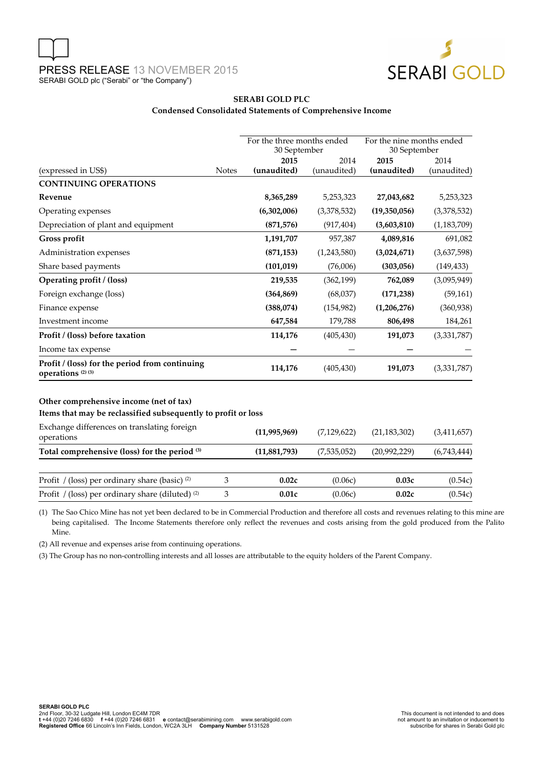

#### **SERABI GOLD PLC Condensed Consolidated Statements of Comprehensive Income**

|                                                                                                          |              | For the three months ended<br>30 September |               | For the nine months ended<br>30 September |               |  |
|----------------------------------------------------------------------------------------------------------|--------------|--------------------------------------------|---------------|-------------------------------------------|---------------|--|
|                                                                                                          |              | 2015                                       | 2014          | 2015                                      | 2014          |  |
| (expressed in US\$)                                                                                      | <b>Notes</b> | (unaudited)                                | (unaudited)   | (unaudited)                               | (unaudited)   |  |
| <b>CONTINUING OPERATIONS</b>                                                                             |              |                                            |               |                                           |               |  |
| Revenue                                                                                                  |              | 8,365,289                                  | 5,253,323     | 27,043,682                                | 5,253,323     |  |
| Operating expenses                                                                                       |              | (6,302,006)                                | (3,378,532)   | (19,350,056)                              | (3,378,532)   |  |
| Depreciation of plant and equipment                                                                      |              | (871,576)                                  | (917, 404)    | (3,603,810)                               | (1, 183, 709) |  |
| Gross profit                                                                                             |              | 1,191,707                                  | 957,387       | 4,089,816                                 | 691,082       |  |
| Administration expenses                                                                                  |              | (871, 153)                                 | (1,243,580)   | (3,024,671)                               | (3,637,598)   |  |
| Share based payments                                                                                     |              | (101, 019)                                 | (76,006)      | (303,056)                                 | (149, 433)    |  |
| Operating profit / (loss)                                                                                |              | 219,535                                    | (362, 199)    | 762,089                                   | (3,095,949)   |  |
| Foreign exchange (loss)                                                                                  |              | (364, 869)                                 | (68,037)      | (171, 238)                                | (59, 161)     |  |
| Finance expense                                                                                          |              | (388,074)                                  | (154, 982)    | (1,206,276)                               | (360, 938)    |  |
| Investment income                                                                                        |              | 647,584                                    | 179,788       | 806,498                                   | 184,261       |  |
| Profit / (loss) before taxation                                                                          |              | 114,176                                    | (405, 430)    | 191,073                                   | (3,331,787)   |  |
| Income tax expense                                                                                       |              |                                            |               |                                           |               |  |
| Profit / (loss) for the period from continuing<br>operations <sup>(2)(3)</sup>                           |              | 114,176                                    | (405, 430)    | 191,073                                   | (3,331,787)   |  |
| Other comprehensive income (net of tax)<br>Items that may be reclassified subsequently to profit or loss |              |                                            |               |                                           |               |  |
| Exchange differences on translating foreign<br>operations                                                |              | (11,995,969)                               | (7, 129, 622) | (21, 183, 302)                            | (3, 411, 657) |  |
| Total comprehensive (loss) for the period (3)                                                            |              | (11,881,793)                               | (7,535,052)   | (20,992,229)                              | (6,743,444)   |  |
| Profit / (loss) per ordinary share (basic) <sup>(2)</sup>                                                | 3            | 0.02c                                      | (0.06c)       | 0.03c                                     | (0.54c)       |  |
| Profit / (loss) per ordinary share (diluted) <sup>(2)</sup>                                              | 3            | 0.01c                                      | (0.06c)       | 0.02c                                     | (0.54c)       |  |

(1) The Sao Chico Mine has not yet been declared to be in Commercial Production and therefore all costs and revenues relating to this mine are being capitalised. The Income Statements therefore only reflect the revenues and costs arising from the gold produced from the Palito Mine.

(2) All revenue and expenses arise from continuing operations.

(3) The Group has no non-controlling interests and all losses are attributable to the equity holders of the Parent Company.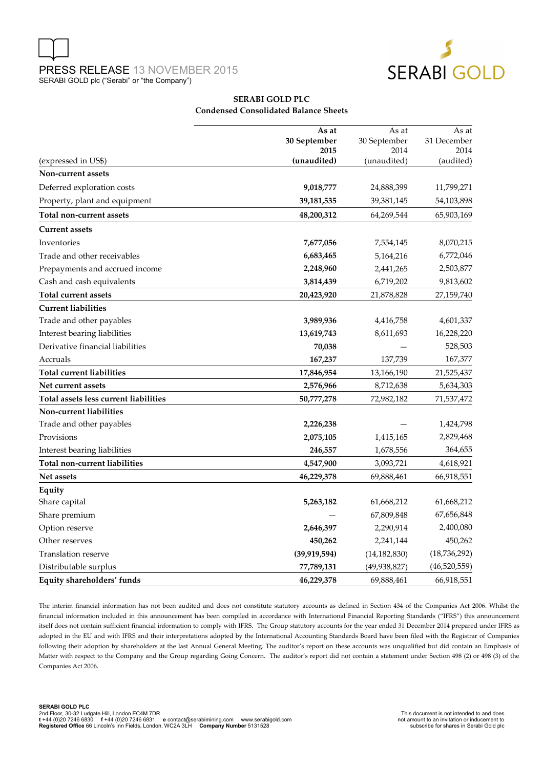



#### **SERABI GOLD PLC Condensed Consolidated Balance Sheets**

|                                       | As at          | As at          | As at          |  |
|---------------------------------------|----------------|----------------|----------------|--|
|                                       | 30 September   | 30 September   | 31 December    |  |
|                                       | 2015           | 2014           | 2014           |  |
| (expressed in US\$)                   | (unaudited)    | (unaudited)    | (audited)      |  |
| Non-current assets                    |                |                |                |  |
| Deferred exploration costs            | 9,018,777      | 24,888,399     | 11,799,271     |  |
| Property, plant and equipment         | 39, 181, 535   | 39,381,145     | 54,103,898     |  |
| Total non-current assets              | 48,200,312     | 64,269,544     | 65,903,169     |  |
| <b>Current assets</b>                 |                |                |                |  |
| Inventories                           | 7,677,056      | 7,554,145      | 8,070,215      |  |
| Trade and other receivables           | 6,683,465      | 5,164,216      | 6,772,046      |  |
| Prepayments and accrued income        | 2,248,960      | 2,441,265      | 2,503,877      |  |
| Cash and cash equivalents             | 3,814,439      | 6,719,202      | 9,813,602      |  |
| Total current assets                  | 20,423,920     | 21,878,828     | 27,159,740     |  |
| <b>Current liabilities</b>            |                |                |                |  |
| Trade and other payables              | 3,989,936      | 4,416,758      | 4,601,337      |  |
| Interest bearing liabilities          | 13,619,743     | 8,611,693      | 16,228,220     |  |
| Derivative financial liabilities      | 70,038         |                | 528,503        |  |
| Accruals                              | 167,237        | 137,739        | 167,377        |  |
| Total current liabilities             | 17,846,954     | 13,166,190     | 21,525,437     |  |
| Net current assets                    | 2,576,966      | 8,712,638      | 5,634,303      |  |
| Total assets less current liabilities | 50,777,278     | 72,982,182     | 71,537,472     |  |
| Non-current liabilities               |                |                |                |  |
| Trade and other payables              | 2,226,238      |                | 1,424,798      |  |
| Provisions                            | 2,075,105      | 1,415,165      | 2,829,468      |  |
| Interest bearing liabilities          | 246,557        | 1,678,556      | 364,655        |  |
| Total non-current liabilities         | 4,547,900      | 3,093,721      | 4,618,921      |  |
| Net assets                            | 46,229,378     | 69,888,461     | 66,918,551     |  |
| Equity                                |                |                |                |  |
| Share capital                         | 5,263,182      | 61,668,212     | 61,668,212     |  |
| Share premium                         |                | 67,809,848     | 67,656,848     |  |
| Option reserve                        | 2,646,397      | 2,290,914      | 2,400,080      |  |
| Other reserves                        | 450,262        | 2,241,144      | 450,262        |  |
| <b>Translation reserve</b>            | (39, 919, 594) | (14, 182, 830) | (18, 736, 292) |  |
| Distributable surplus                 | 77,789,131     | (49, 938, 827) | (46,520,559)   |  |
| Equity shareholders' funds            | 46,229,378     | 69,888,461     | 66,918,551     |  |

The interim financial information has not been audited and does not constitute statutory accounts as defined in Section 434 of the Companies Act 2006. Whilst the financial information included in this announcement has been compiled in accordance with International Financial Reporting Standards ("IFRS") this announcement itself does not contain sufficient financial information to comply with IFRS. The Group statutory accounts for the year ended 31 December 2014 prepared under IFRS as adopted in the EU and with IFRS and their interpretations adopted by the International Accounting Standards Board have been filed with the Registrar of Companies following their adoption by shareholders at the last Annual General Meeting. The auditor's report on these accounts was unqualified but did contain an Emphasis of Matter with respect to the Company and the Group regarding Going Concern. The auditor's report did not contain a statement under Section 498 (2) or 498 (3) of the Companies Act 2006.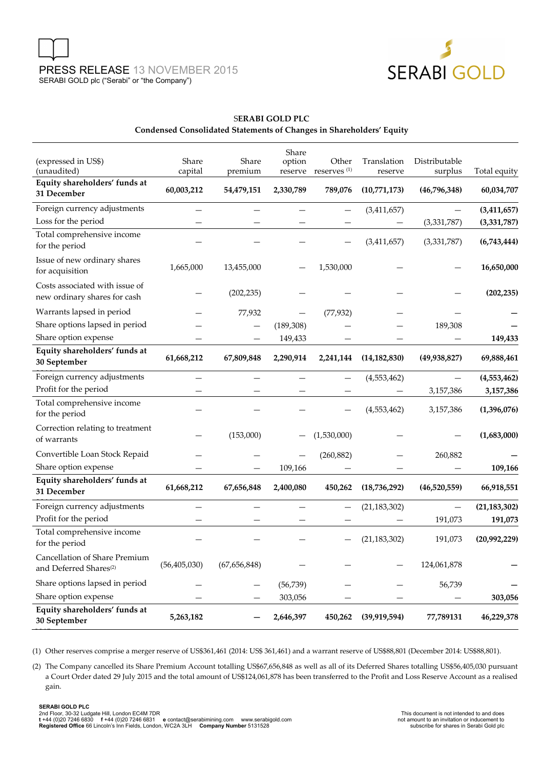



## S**ERABI GOLD PLC Condensed Consolidated Statements of Changes in Shareholders' Equity**

| (expressed in US\$)<br>(unaudited)                                  | Share<br>capital | Share<br>premium | Share<br>option<br>reserve | Other<br>reserves <sup>(1)</sup> | Translation<br>reserve | Distributable<br>surplus | Total equity               |
|---------------------------------------------------------------------|------------------|------------------|----------------------------|----------------------------------|------------------------|--------------------------|----------------------------|
| Equity shareholders' funds at<br>31 December                        | 60,003,212       | 54,479,151       | 2,330,789                  | 789,076                          | (10,771,173)           | (46,796,348)             | 60,034,707                 |
| Foreign currency adjustments<br>Loss for the period                 |                  |                  |                            |                                  | (3,411,657)            | (3,331,787)              | (3,411,657)<br>(3,331,787) |
| Total comprehensive income<br>for the period                        |                  |                  |                            |                                  | (3,411,657)            | (3,331,787)              | (6,743,444)                |
| Issue of new ordinary shares<br>for acquisition                     | 1,665,000        | 13,455,000       |                            | 1,530,000                        |                        |                          | 16,650,000                 |
| Costs associated with issue of<br>new ordinary shares for cash      |                  | (202, 235)       |                            |                                  |                        |                          | (202, 235)                 |
| Warrants lapsed in period                                           |                  | 77,932           |                            | (77, 932)                        |                        |                          |                            |
| Share options lapsed in period                                      |                  |                  | (189, 308)                 |                                  |                        | 189,308                  |                            |
| Share option expense                                                |                  | —                | 149,433                    |                                  |                        |                          | 149,433                    |
| Equity shareholders' funds at<br>30 September                       | 61,668,212       | 67,809,848       | 2,290,914                  | 2,241,144                        | (14, 182, 830)         | (49, 938, 827)           | 69,888,461                 |
| Foreign currency adjustments                                        |                  |                  |                            |                                  | (4, 553, 462)          |                          | (4,553,462)                |
| Profit for the period                                               |                  |                  |                            |                                  |                        | 3,157,386                | 3,157,386                  |
| Total comprehensive income<br>for the period                        |                  |                  |                            |                                  | (4,553,462)            | 3,157,386                | (1,396,076)                |
| Correction relating to treatment<br>of warrants                     |                  | (153,000)        |                            | (1,530,000)                      |                        |                          | (1,683,000)                |
| Convertible Loan Stock Repaid                                       |                  |                  |                            | (260, 882)                       |                        | 260,882                  |                            |
| Share option expense                                                |                  |                  | 109,166                    |                                  |                        |                          | 109,166                    |
| Equity shareholders' funds at<br>31 December                        | 61,668,212       | 67,656,848       | 2,400,080                  | 450,262                          | (18,736,292)           | (46,520,559)             | 66,918,551                 |
| Foreign currency adjustments                                        |                  |                  |                            | $\overline{\phantom{0}}$         | (21, 183, 302)         |                          | (21, 183, 302)             |
| Profit for the period                                               |                  |                  |                            |                                  |                        | 191,073                  | 191,073                    |
| Total comprehensive income<br>for the period                        |                  |                  |                            |                                  | (21, 183, 302)         | 191,073                  | (20,992,229)               |
| Cancellation of Share Premium<br>and Deferred Shares <sup>(2)</sup> | (56, 405, 030)   | (67, 656, 848)   |                            |                                  |                        | 124,061,878              |                            |
| Share options lapsed in period                                      |                  |                  | (56, 739)                  |                                  |                        | 56,739                   |                            |
| Share option expense                                                |                  |                  | 303,056                    |                                  |                        |                          | 303,056                    |
| Equity shareholders' funds at<br>30 September                       | 5,263,182        |                  | 2,646,397                  | 450,262                          | (39, 919, 594)         | 77,789131                | 46,229,378                 |

(1) Other reserves comprise a merger reserve of US\$361,461 (2014: US\$ 361,461) and a warrant reserve of US\$88,801 (December 2014: US\$88,801).

(2) The Company cancelled its Share Premium Account totalling US\$67,656,848 as well as all of its Deferred Shares totalling US\$56,405,030 pursuant a Court Order dated 29 July 2015 and the total amount of US\$124,061,878 has been transferred to the Profit and Loss Reserve Account as a realised gain.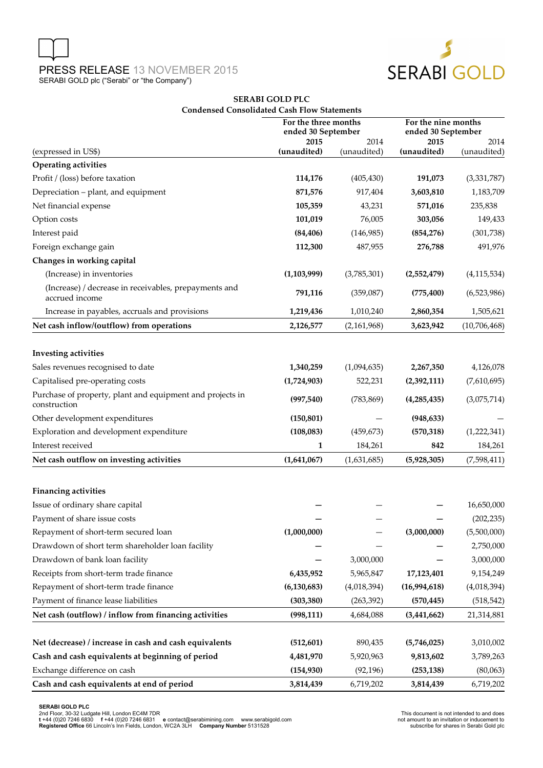



## **SERABI GOLD PLC Condensed Consolidated Cash Flow Statements**

|                                                                           | For the three months<br>ended 30 September |                     | For the nine months<br>ended 30 September |                     |  |
|---------------------------------------------------------------------------|--------------------------------------------|---------------------|-------------------------------------------|---------------------|--|
| (expressed in US\$)                                                       | 2015<br>(unaudited)                        | 2014<br>(unaudited) | 2015<br>(unaudited)                       | 2014<br>(unaudited) |  |
| Operating activities                                                      |                                            |                     |                                           |                     |  |
| Profit / (loss) before taxation                                           | 114,176                                    | (405, 430)          | 191,073                                   | (3,331,787)         |  |
| Depreciation - plant, and equipment                                       | 871,576                                    | 917,404             | 3,603,810                                 | 1,183,709           |  |
| Net financial expense                                                     | 105,359                                    | 43,231              | 571,016                                   | 235,838             |  |
| Option costs                                                              | 101,019                                    | 76,005              | 303,056                                   | 149,433             |  |
| Interest paid                                                             | (84, 406)                                  | (146,985)           | (854, 276)                                | (301, 738)          |  |
| Foreign exchange gain                                                     | 112,300                                    | 487,955             | 276,788                                   | 491,976             |  |
| Changes in working capital                                                |                                            |                     |                                           |                     |  |
| (Increase) in inventories                                                 | (1, 103, 999)                              | (3,785,301)         | (2,552,479)                               | (4, 115, 534)       |  |
| (Increase) / decrease in receivables, prepayments and<br>accrued income   | 791,116                                    | (359,087)           | (775, 400)                                | (6,523,986)         |  |
| Increase in payables, accruals and provisions                             | 1,219,436                                  | 1,010,240           | 2,860,354                                 | 1,505,621           |  |
| Net cash inflow/(outflow) from operations                                 | 2,126,577                                  | (2,161,968)         | 3,623,942                                 | (10,706,468)        |  |
|                                                                           |                                            |                     |                                           |                     |  |
| <b>Investing activities</b>                                               |                                            |                     |                                           |                     |  |
| Sales revenues recognised to date                                         | 1,340,259                                  | (1,094,635)         | 2,267,350                                 | 4,126,078           |  |
| Capitalised pre-operating costs                                           | (1,724,903)                                | 522,231             | (2,392,111)                               | (7,610,695)         |  |
| Purchase of property, plant and equipment and projects in<br>construction | (997, 540)                                 | (783, 869)          | (4,285,435)                               | (3,075,714)         |  |
| Other development expenditures                                            | (150, 801)                                 |                     | (948, 633)                                |                     |  |
| Exploration and development expenditure                                   | (108, 083)                                 | (459, 673)          | (570, 318)                                | (1,222,341)         |  |
| Interest received                                                         | 1                                          | 184,261             | 842                                       | 184,261             |  |
| Net cash outflow on investing activities                                  | (1,641,067)                                | (1,631,685)         | (5,928,305)                               | (7,598,411)         |  |
| <b>Financing activities</b>                                               |                                            |                     |                                           |                     |  |
| Issue of ordinary share capital                                           |                                            |                     |                                           | 16,650,000          |  |
| Payment of share issue costs                                              |                                            |                     |                                           | (202, 235)          |  |
| Repayment of short-term secured loan                                      | (1,000,000)                                |                     | (3,000,000)                               | (5,500,000)         |  |
| Drawdown of short term shareholder loan facility                          |                                            |                     |                                           | 2,750,000           |  |
| Drawdown of bank loan facility                                            |                                            | 3,000,000           |                                           | 3,000,000           |  |
| Receipts from short-term trade finance                                    | 6,435,952                                  | 5,965,847           | 17,123,401                                | 9,154,249           |  |
| Repayment of short-term trade finance                                     | (6, 130, 683)                              | (4,018,394)         | (16,994,618)                              | (4,018,394)         |  |
| Payment of finance lease liabilities                                      | (303, 380)                                 | (263, 392)          | (570, 445)                                | (518, 542)          |  |
| Net cash (outflow) / inflow from financing activities                     | (998, 111)                                 | 4,684,088           | (3,441,662)                               | 21,314,881          |  |
| Net (decrease) / increase in cash and cash equivalents                    | (512,601)                                  | 890,435             | (5,746,025)                               | 3,010,002           |  |
| Cash and cash equivalents at beginning of period                          | 4,481,970                                  | 5,920,963           | 9,813,602                                 | 3,789,263           |  |
| Exchange difference on cash                                               | (154, 930)                                 | (92, 196)           | (253, 138)                                | (80,063)            |  |
| Cash and cash equivalents at end of period                                | 3,814,439                                  | 6,719,202           | 3,814,439                                 | 6,719,202           |  |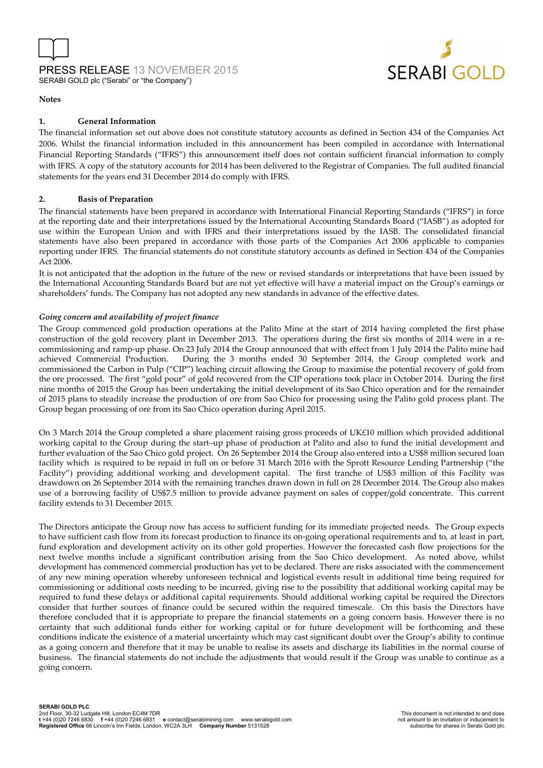



#### **Notes**

#### **1. General Information**

The financial information set out above does not constitute statutory accounts as defined in Section 434 of the Companies Act 2006. Whilst the financial information included in this announcement has been compiled in accordance with International Financial Reporting Standards ("IFRS") this announcement itself does not contain sufficient financial information to comply with IFRS. A copy of the statutory accounts for 2014 has been delivered to the Registrar of Companies. The full audited financial statements for the years end 31 December 2014 do comply with IFRS.

#### **2. Basis of Preparation**

The financial statements have been prepared in accordance with International Financial Reporting Standards ("IFRS") in force at the reporting date and their interpretations issued by the International Accounting Standards Board ("IASB") as adopted for use within the European Union and with IFRS and their interpretations issued by the IASB. The consolidated financial statements have also been prepared in accordance with those parts of the Companies Act 2006 applicable to companies reporting under IFRS. The financial statements do not constitute statutory accounts as defined in Section 434 of the Companies Act 2006.

It is not anticipated that the adoption in the future of the new or revised standards or interpretations that have been issued by the International Accounting Standards Board but are not yet effective will have a material impact on the Group's earnings or shareholders' funds. The Company has not adopted any new standards in advance of the effective dates.

#### *Going concern and availability of project finance*

The Group commenced gold production operations at the Palito Mine at the start of 2014 having completed the first phase construction of the gold recovery plant in December 2013. The operations during the first six months of 2014 were in a recommissioning and ramp-up phase. On 23 July 2014 the Group announced that with effect from 1 July 2014 the Palito mine had achieved Commercial Production. During the 3 months ended 30 September 2014, the Group completed work and commissioned the Carbon in Pulp ("CIP") leaching circuit allowing the Group to maximise the potential recovery of gold from the ore processed. The first "gold pour" of gold recovered from the CIP operations took place in October 2014. During the first nine months of 2015 the Group has been undertaking the initial development of its Sao Chico operation and for the remainder of 2015 plans to steadily increase the production of ore from Sao Chico for processing using the Palito gold process plant. The Group began processing of ore from its Sao Chico operation during April 2015.

On 3 March 2014 the Group completed a share placement raising gross proceeds of UK£10 million which provided additional working capital to the Group during the start–up phase of production at Palito and also to fund the initial development and further evaluation of the Sao Chico gold project. On 26 September 2014 the Group also entered into a US\$8 million secured loan facility which is required to be repaid in full on or before 31 March 2016 with the Sprott Resource Lending Partnership ("the Facility") providing additional working and development capital. The first tranche of US\$3 million of this Facility was drawdown on 26 September 2014 with the remaining tranches drawn down in full on 28 December 2014. The Group also makes use of a borrowing facility of US\$7.5 million to provide advance payment on sales of copper/gold concentrate. This current facility extends to 31 December 2015.

The Directors anticipate the Group now has access to sufficient funding for its immediate projected needs. The Group expects to have sufficient cash flow from its forecast production to finance its on-going operational requirements and to, at least in part, fund exploration and development activity on its other gold properties. However the forecasted cash flow projections for the next twelve months include a significant contribution arising from the Sao Chico development. As noted above, whilst development has commenced commercial production has yet to be declared. There are risks associated with the commencement of any new mining operation whereby unforeseen technical and logistical events result in additional time being required for commissioning or additional costs needing to be incurred, giving rise to the possibility that additional working capital may be required to fund these delays or additional capital requirements. Should additional working capital be required the Directors consider that further sources of finance could be secured within the required timescale. On this basis the Directors have therefore concluded that it is appropriate to prepare the financial statements on a going concern basis. However there is no certainty that such additional funds either for working capital or for future development will be forthcoming and these conditions indicate the existence of a material uncertainty which may cast significant doubt over the Group's ability to continue as a going concern and therefore that it may be unable to realise its assets and discharge its liabilities in the normal course of business. The financial statements do not include the adjustments that would result if the Group was unable to continue as a going concern.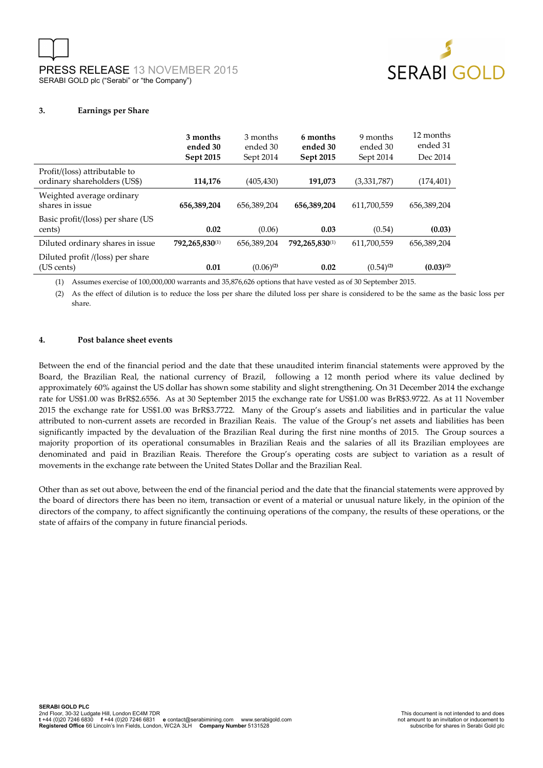



#### **3. Earnings per Share**

|                                                               | 3 months<br>ended 30<br>Sept 2015 | 3 months<br>ended 30<br>Sept 2014 | 6 months<br>ended 30<br>Sept 2015 | 9 months<br>ended 30<br>Sept 2014 | 12 months<br>ended 31<br>Dec 2014 |
|---------------------------------------------------------------|-----------------------------------|-----------------------------------|-----------------------------------|-----------------------------------|-----------------------------------|
| Profit/(loss) attributable to<br>ordinary shareholders (US\$) | 114,176                           | (405, 430)                        | 191,073                           | (3,331,787)                       | (174, 401)                        |
| Weighted average ordinary<br>shares in issue                  | 656,389,204                       | 656.389.204                       | 656,389,204                       | 611,700,559                       | 656,389,204                       |
| Basic profit/(loss) per share (US<br>cents)                   | 0.02                              | (0.06)                            | 0.03                              | (0.54)                            | (0.03)                            |
| Diluted ordinary shares in issue                              | 792,265,830(1)                    | 656.389.204                       | 792,265,830(1)                    | 611,700,559                       | 656,389,204                       |
| Diluted profit /(loss) per share<br>(US cents)                | 0.01                              | $(0.06)^{(2)}$                    | 0.02                              | $(0.54)^{(2)}$                    | $(0.03)^{(2)}$                    |

(1) Assumes exercise of 100,000,000 warrants and 35,876,626 options that have vested as of 30 September 2015.

(2) As the effect of dilution is to reduce the loss per share the diluted loss per share is considered to be the same as the basic loss per share.

#### **4. Post balance sheet events**

Between the end of the financial period and the date that these unaudited interim financial statements were approved by the Board, the Brazilian Real, the national currency of Brazil, following a 12 month period where its value declined by approximately 60% against the US dollar has shown some stability and slight strengthening. On 31 December 2014 the exchange rate for US\$1.00 was BrR\$2.6556. As at 30 September 2015 the exchange rate for US\$1.00 was BrR\$3.9722. As at 11 November 2015 the exchange rate for US\$1.00 was BrR\$3.7722. Many of the Group's assets and liabilities and in particular the value attributed to non-current assets are recorded in Brazilian Reais. The value of the Group's net assets and liabilities has been significantly impacted by the devaluation of the Brazilian Real during the first nine months of 2015. The Group sources a majority proportion of its operational consumables in Brazilian Reais and the salaries of all its Brazilian employees are denominated and paid in Brazilian Reais. Therefore the Group's operating costs are subject to variation as a result of movements in the exchange rate between the United States Dollar and the Brazilian Real.

Other than as set out above, between the end of the financial period and the date that the financial statements were approved by the board of directors there has been no item, transaction or event of a material or unusual nature likely, in the opinion of the directors of the company, to affect significantly the continuing operations of the company, the results of these operations, or the state of affairs of the company in future financial periods.